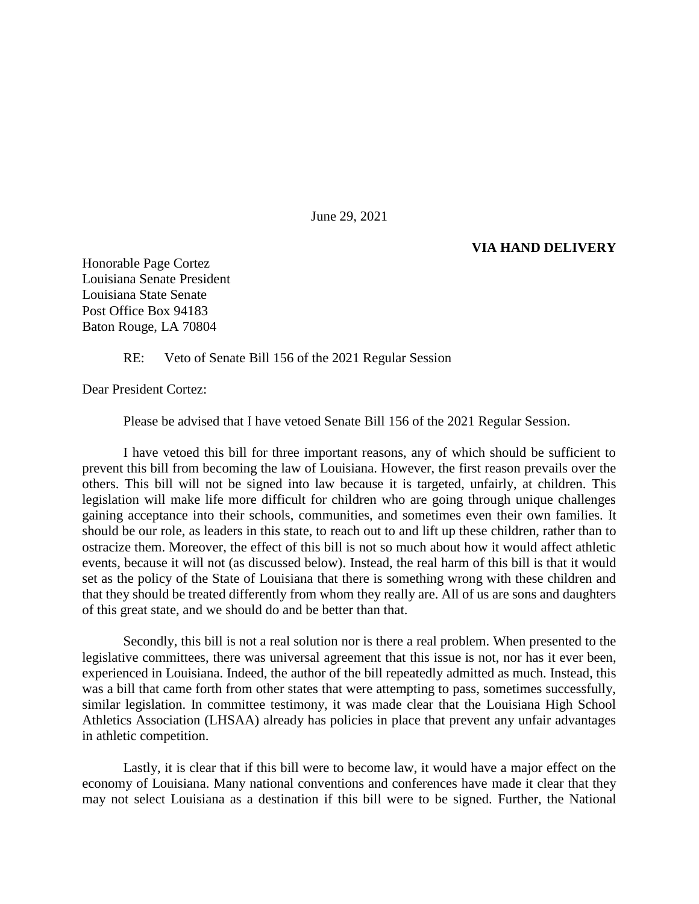June 29, 2021

## **VIA HAND DELIVERY**

Honorable Page Cortez Louisiana Senate President Louisiana State Senate Post Office Box 94183 Baton Rouge, LA 70804

RE: Veto of Senate Bill 156 of the 2021 Regular Session

Dear President Cortez:

Please be advised that I have vetoed Senate Bill 156 of the 2021 Regular Session.

I have vetoed this bill for three important reasons, any of which should be sufficient to prevent this bill from becoming the law of Louisiana. However, the first reason prevails over the others. This bill will not be signed into law because it is targeted, unfairly, at children. This legislation will make life more difficult for children who are going through unique challenges gaining acceptance into their schools, communities, and sometimes even their own families. It should be our role, as leaders in this state, to reach out to and lift up these children, rather than to ostracize them. Moreover, the effect of this bill is not so much about how it would affect athletic events, because it will not (as discussed below). Instead, the real harm of this bill is that it would set as the policy of the State of Louisiana that there is something wrong with these children and that they should be treated differently from whom they really are. All of us are sons and daughters of this great state, and we should do and be better than that.

Secondly, this bill is not a real solution nor is there a real problem. When presented to the legislative committees, there was universal agreement that this issue is not, nor has it ever been, experienced in Louisiana. Indeed, the author of the bill repeatedly admitted as much. Instead, this was a bill that came forth from other states that were attempting to pass, sometimes successfully, similar legislation. In committee testimony, it was made clear that the Louisiana High School Athletics Association (LHSAA) already has policies in place that prevent any unfair advantages in athletic competition.

Lastly, it is clear that if this bill were to become law, it would have a major effect on the economy of Louisiana. Many national conventions and conferences have made it clear that they may not select Louisiana as a destination if this bill were to be signed. Further, the National